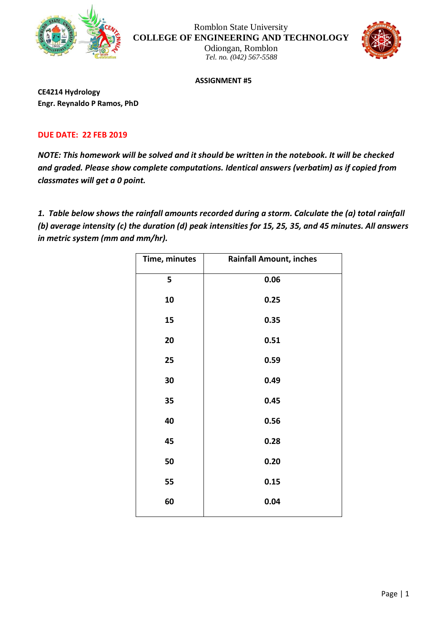

Romblon State University **COLLEGE OF ENGINEERING AND TECHNOLOGY**

Odiongan, Romblon *Tel. no. (042) 567-5588*



**ASSIGNMENT #5**

**CE4214 Hydrology Engr. Reynaldo P Ramos, PhD**

## **DUE DATE: 22 FEB 2019**

*NOTE: This homework will be solved and it should be written in the notebook. It will be checked and graded. Please show complete computations. Identical answers (verbatim) as if copied from classmates will get a 0 point.*

*1. Table below shows the rainfall amounts recorded during a storm. Calculate the (a) total rainfall (b) average intensity (c) the duration (d) peak intensities for 15, 25, 35, and 45 minutes. All answers in metric system (mm and mm/hr).*

| Time, minutes | <b>Rainfall Amount, inches</b> |
|---------------|--------------------------------|
| 5             | 0.06                           |
| 10            | 0.25                           |
| 15            | 0.35                           |
| 20            | 0.51                           |
| 25            | 0.59                           |
| 30            | 0.49                           |
| 35            | 0.45                           |
| 40            | 0.56                           |
| 45            | 0.28                           |
| 50            | 0.20                           |
| 55            | 0.15                           |
| 60            | 0.04                           |
|               |                                |